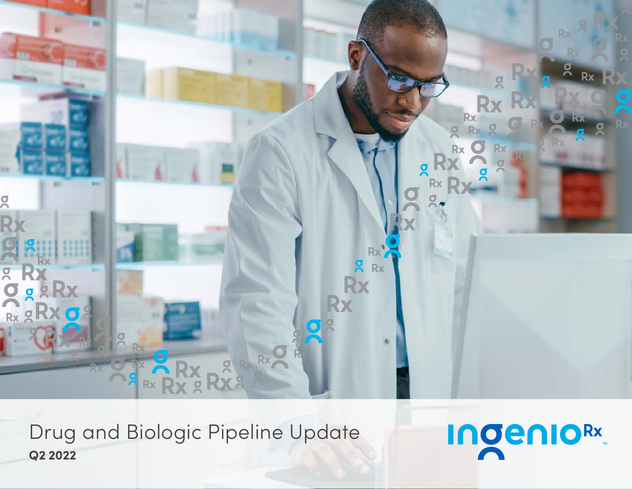

Drug and Biologic Pipeline Update **Q2 2022**

**IngenioRx**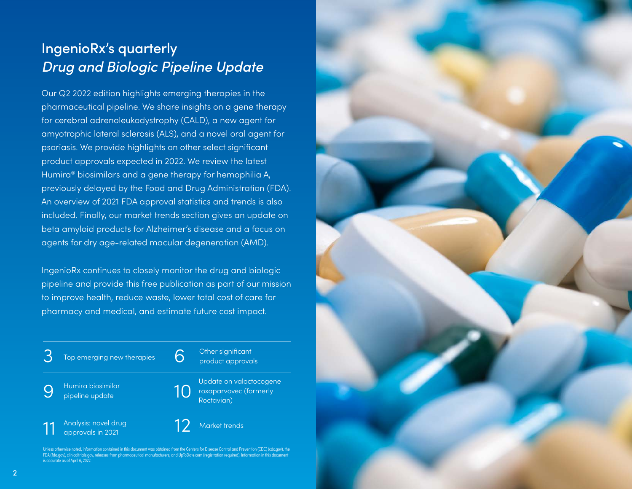# IngenioRx's quarterly *Drug and Biologic Pipeline Update*

Our Q2 2022 edition highlights emerging therapies in the pharmaceutical pipeline. We share insights on a gene therapy for cerebral adrenoleukodystrophy (CALD), a new agent for amyotrophic lateral sclerosis (ALS), and a novel oral agent for psoriasis. We provide highlights on other select significant product approvals expected in 2022. We review the latest Humira® biosimilars and a gene therapy for hemophilia A, previously delayed by the Food and Drug Administration (FDA). An overview of 2021 FDA approval statistics and trends is also included. Finally, our market trends section gives an update on beta amyloid products for Alzheimer's disease and a focus on agents for dry age-related macular degeneration (AMD).

IngenioRx continues to closely monitor the drug and biologic pipeline and provide this free publication as part of our mission to improve health, reduce waste, lower total cost of care for pharmacy and medical, and estimate future cost impact.

| Top emerging new therapies                | Other significant<br>product approvals                          |
|-------------------------------------------|-----------------------------------------------------------------|
| Humira biosimilar<br>pipeline update      | Update on valoctocogene<br>roxaparvovec (formerly<br>Roctavian) |
| Analysis: novel drug<br>approvals in 2021 | Market trends                                                   |

Unless otherwise noted, information contained in this document was obtained from the Centers for Disease Control and Prevention (CDC) [\(cdc.gov](http://www.cdc.gov)), the FDA ([fda.gov](http://www.fda.gov)), clinicaltrials.gov, releases from pharmaceutical manufacturers, and UpToDate.com (registration required). Information in this document s accurate as of April 6, 2022.

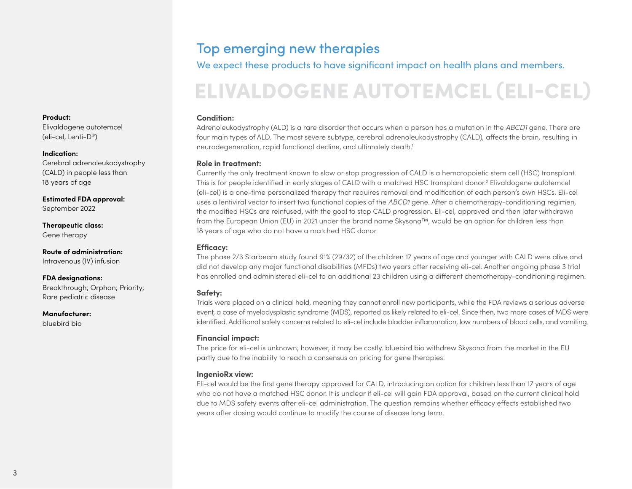## Top emerging new therapies

We expect these products to have significant impact on health plans and members.

# ELIVALDOGENE AUTOTEMCEL (ELI-CEL)

### **Condition:**

Adrenoleukodystrophy (ALD) is a rare disorder that occurs when a person has a mutation in the *ABCD1* gene. There are four main types of ALD. The most severe subtype, cerebral adrenoleukodystrophy (CALD), affects the brain, resulting in neurodegeneration, rapid functional decline, and ultimately death.1

### **Role in treatment:**

Currently the only treatment known to slow or stop progression of CALD is a hematopoietic stem cell (HSC) transplant. This is for people identified in early stages of CALD with a matched HSC transplant donor.<sup>2</sup> Elivaldogene autotemcel (eli-cel) is a one-time personalized therapy that requires removal and modification of each person's own HSCs. Eli-cel uses a lentiviral vector to insert two functional copies of the *ABCD1* gene. After a chemotherapy-conditioning regimen, the modified HSCs are reinfused, with the goal to stop CALD progression. Eli-cel, approved and then later withdrawn from the European Union (EU) in 2021 under the brand name Skysona™, would be an option for children less than 18 years of age who do not have a matched HSC donor.

### **Efficacy:**

The phase 2/3 Starbeam study found 91% (29/32) of the children 17 years of age and younger with CALD were alive and did not develop any major functional disabilities (MFDs) two years after receiving eli-cel. Another ongoing phase 3 trial has enrolled and administered eli-cel to an additional 23 children using a different chemotherapy-conditioning regimen.

### **Safety:**

Trials were placed on a clinical hold, meaning they cannot enroll new participants, while the FDA reviews a serious adverse event, a case of myelodysplastic syndrome (MDS), reported as likely related to eli-cel. Since then, two more cases of MDS were identified. Additional safety concerns related to eli-cel include bladder inflammation, low numbers of blood cells, and vomiting.

### **Financial impact:**

The price for eli-cel is unknown; however, it may be costly. bluebird bio withdrew Skysona from the market in the EU partly due to the inability to reach a consensus on pricing for gene therapies.

### **IngenioRx view:**

Eli-cel would be the first gene therapy approved for CALD, introducing an option for children less than 17 years of age who do not have a matched HSC donor. It is unclear if eli-cel will gain FDA approval, based on the current clinical hold due to MDS safety events after eli-cel administration. The question remains whether efficacy effects established two years after dosing would continue to modify the course of disease long term.

#### <span id="page-2-0"></span>**Product:**

Elivaldogene autotemcel (eli-cel, Lenti-D®)

### **Indication:**

Cerebral adrenoleukodystrophy (CALD) in people less than 18 years of age

**Estimated FDA approval:**  September 2022

**Therapeutic class:**  Gene therapy

**Route of administration:**  Intravenous (IV) infusion

**FDA designations:**  Breakthrough; Orphan; Priority; Rare pediatric disease

**Manufacturer:** 

bluebird bio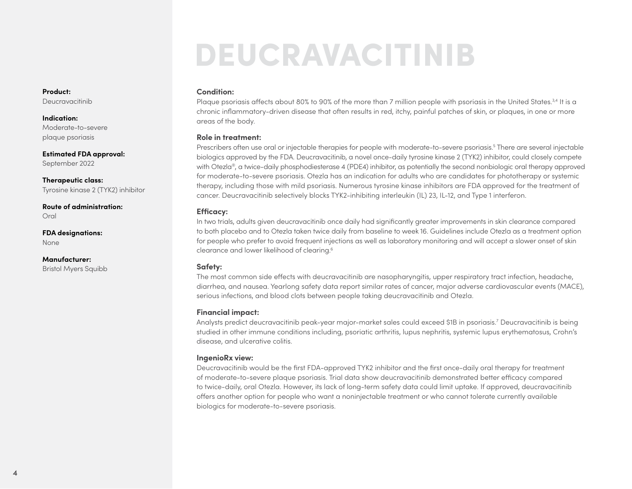# DEUCRAVACITINIB

#### **Condition:**

Plaque psoriasis affects about 80% to 90% of the more than 7 million people with psoriasis in the United States.<sup>3,4</sup> It is a chronic inflammatory-driven disease that often results in red, itchy, painful patches of skin, or plaques, in one or more areas of the body.

#### **Role in treatment:**

Prescribers often use oral or injectable therapies for people with moderate-to-severe psoriasis.<sup>5</sup> There are several injectable biologics approved by the FDA. Deucravacitinib, a novel once-daily tyrosine kinase 2 (TYK2) inhibitor, could closely compete with Otezla®, a twice-daily phosphodiesterase 4 (PDE4) inhibitor, as potentially the second nonbiologic oral therapy approved for moderate-to-severe psoriasis. Otezla has an indication for adults who are candidates for phototherapy or systemic therapy, including those with mild psoriasis. Numerous tyrosine kinase inhibitors are FDA approved for the treatment of cancer. Deucravacitinib selectively blocks TYK2-inhibiting interleukin (IL) 23, IL-12, and Type 1 interferon.

#### **Efficacy:**

In two trials, adults given deucravacitinib once daily had significantly greater improvements in skin clearance compared to both placebo and to Otezla taken twice daily from baseline to week 16. Guidelines include Otezla as a treatment option for people who prefer to avoid frequent injections as well as laboratory monitoring and will accept a slower onset of skin clearance and lower likelihood of clearing.6

#### **Safety:**

The most common side effects with deucravacitinib are nasopharyngitis, upper respiratory tract infection, headache, diarrhea, and nausea. Yearlong safety data report similar rates of cancer, major adverse cardiovascular events (MACE), serious infections, and blood clots between people taking deucravacitinib and Otezla.

#### **Financial impact:**

Analysts predict deucravacitinib peak-year major-market sales could exceed \$1B in psoriasis.7 Deucravacitinib is being studied in other immune conditions including, psoriatic arthritis, lupus nephritis, systemic lupus erythematosus, Crohn's disease, and ulcerative colitis.

#### **IngenioRx view:**

Deucravacitinib would be the first FDA-approved TYK2 inhibitor and the first once-daily oral therapy for treatment of moderate-to-severe plaque psoriasis. Trial data show deucravacitinib demonstrated better efficacy compared to twice-daily, oral Otezla. However, its lack of long-term safety data could limit uptake. If approved, deucravacitinib offers another option for people who want a noninjectable treatment or who cannot tolerate currently available biologics for moderate-to-severe psoriasis.

**Product:**  Deucravacitinib

**Indication:**  Moderate-to-severe plaque psoriasis

**Estimated FDA approval:**  September 2022

**Therapeutic class:**  Tyrosine kinase 2 (TYK2) inhibitor

**Route of administration:**  Oral

**FDA designations:**  None

**Manufacturer:**  Bristol Myers Squibb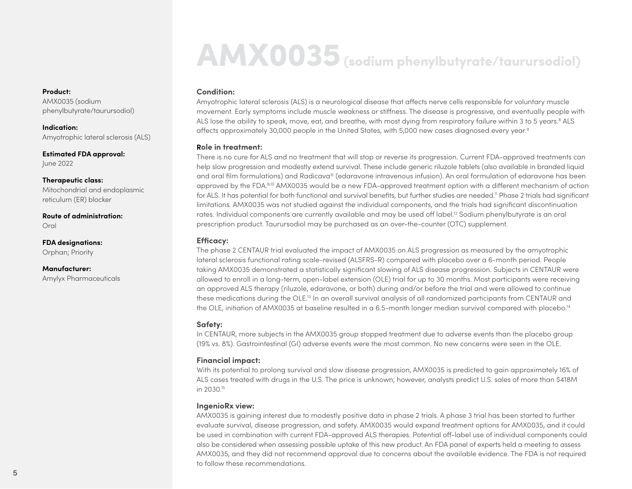# AMX0035 (sodium phenylbutyrate/taurursodiol)

#### **Condition:**

Amyotrophic lateral sclerosis (ALS) is a neurological disease that affects nerve cells responsible for voluntary muscle movement. Early symptoms include muscle weakness or stiffness. The disease is progressive, and eventually people with ALS lose the ability to speak, move, eat, and breathe, with most dying from respiratory failure within 3 to 5 years.<sup>8</sup> ALS affects approximately 30,000 people in the United States, with 5,000 new cases diagnosed every year.<sup>9</sup>

#### **Role in treatment:**

There is no cure for ALS and no treatment that will stop or reverse its progression. Current FDA-approved treatments can help slow progression and modestly extend survival. These include generic riluzole tablets (also available in branded liquid and oral film formulations) and Radicava® (edaravone intravenous infusion). An oral formulation of edaravone has been approved by the FDA.8,10 AMX0035 would be a new FDA-approved treatment option with a different mechanism of action for ALS. It has potential for both functional and survival benefits, but further studies are needed.<sup>11</sup> Phase 2 trials had significant limitations. AMX0035 was not studied against the individual components, and the trials had significant discontinuation rates. Individual components are currently available and may be used off label.12 Sodium phenylbutyrate is an oral prescription product. Taurursodiol may be purchased as an over-the-counter (OTC) supplement.

#### **Efficacy:**

The phase 2 CENTAUR trial evaluated the impact of AMX0035 on ALS progression as measured by the amyotrophic lateral sclerosis functional rating scale-revised (ALSFRS-R) compared with placebo over a 6-month period. People taking AMX0035 demonstrated a statistically significant slowing of ALS disease progression. Subjects in CENTAUR were allowed to enroll in a long-term, open-label extension (OLE) trial for up to 30 months. Most participants were receiving an approved ALS therapy (riluzole, edaravone, or both) during and/or before the trial and were allowed to continue these medications during the OLE.13 In an overall survival analysis of all randomized participants from CENTAUR and the OLE, initiation of AMX0035 at baseline resulted in a 6.5-month longer median survival compared with placebo.<sup>14</sup>

#### **Safety:**

In CENTAUR, more subjects in the AMX0035 group stopped treatment due to adverse events than the placebo group (19% vs. 8%). Gastrointestinal (GI) adverse events were the most common. No new concerns were seen in the OLE.

#### **Financial impact:**

With its potential to prolong survival and slow disease progression, AMX0035 is predicted to gain approximately 16% of ALS cases treated with drugs in the U.S. The price is unknown; however, analysts predict U.S. sales of more than \$418M in 2030.15

#### **IngenioRx view:**

AMX0035 is gaining interest due to modestly positive data in phase 2 trials. A phase 3 trial has been started to further evaluate survival, disease progression, and safety. AMX0035 would expand treatment options for AMX0035, and it could be used in combination with current FDA-approved ALS therapies. Potential off-label use of individual components could also be considered when assessing possible uptake of this new product. An FDA panel of experts held a meeting to assess AMX0035, and they did not recommend approval due to concerns about the available evidence. The FDA is not required to follow these recommendations.

#### **Product:**

AMX0035 (sodium phenylbutyrate/taurursodiol)

**Indication:**  Amyotrophic lateral sclerosis (ALS)

**Estimated FDA approval:**  June 2022

**Therapeutic class:**  Mitochondrial and endoplasmic reticulum (ER) blocker

**Route of administration:**  Oral

**FDA designations:**  Orphan; Priority

**Manufacturer:**  Amylyx Pharmaceuticals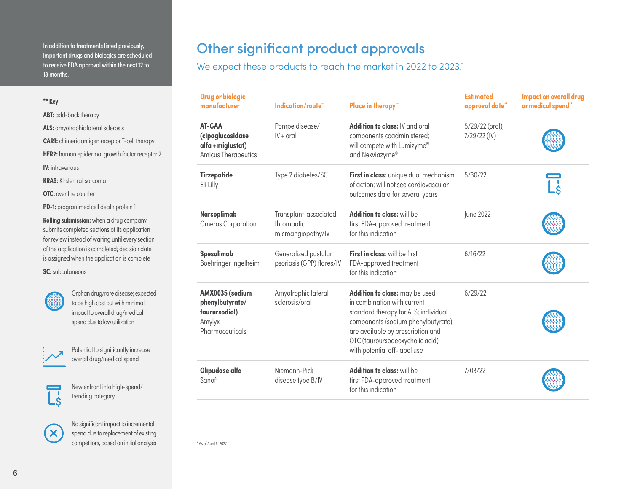<span id="page-5-0"></span>In addition to treatments listed previously, important drugs and biologics are scheduled to receive FDA approval within the next 12 to 18 months.

**ABT:** add-back therapy

- **ALS:** amyotrophic lateral sclerosis
- **CART:** chimeric antigen receptor T-cell therapy

**HER2:** human epidermal growth factor receptor 2

**IV:** intravenous

**KRAS:** Kirsten rat sarcoma

**OTC:** over the counter

**PD-1:** programmed cell death protein 1

**Rolling submission:** when a drug company submits completed sections of its application for review instead of waiting until every section of the application is completed; decision date is assigned when the application is complete

**SC:** subcutaneous



Orphan drug/rare disease; expected to be high cost but with minimal impact to overall drug/medical spend due to low utilization



Potential to significantly increase overall drug/medical spend

New entrant into high-spend/ trending category



No significant impact to incremental spend due to replacement of existing competitors, based on initial analysis

# Other significant product approvals

We expect these products to reach the market in 2022 to 2023.\*

| <b>Drug or biologic</b><br>manufacturer                                          | Indication/route**                                        | <b>Place in therapy"</b>                                                                                                                                                                                                                             | <b>Estimated</b><br>approval date** | <b>Impact on overall drug</b><br>or medical spend** |
|----------------------------------------------------------------------------------|-----------------------------------------------------------|------------------------------------------------------------------------------------------------------------------------------------------------------------------------------------------------------------------------------------------------------|-------------------------------------|-----------------------------------------------------|
| AT-GAA<br>(cipaglucosidase<br>alfa + miglustat)<br><b>Amicus Therapeutics</b>    | Pompe disease/<br>$IV + ord$                              | Addition to class: IV and oral<br>components coadministered;<br>will compete with Lumizyme®<br>and Nexviazyme®                                                                                                                                       | 5/29/22 (oral);<br>$7/29/22$ (IV)   |                                                     |
| Tirzepatide<br>Eli Lilly                                                         | Type 2 diabetes/SC                                        | First in class: unique dual mechanism<br>of action; will not see cardiovascular<br>outcomes data for several years                                                                                                                                   | 5/30/22                             |                                                     |
| Narsoplimab<br>Omeros Corporation                                                | Transplant-associated<br>thrombotic<br>microangiopathy/IV | Addition to class: will be<br>first FDA-approved treatment<br>for this indication                                                                                                                                                                    | June 2022                           |                                                     |
| Spesolimab<br>Boehringer Ingelheim                                               | Generalized pustular<br>psoriasis (GPP) flares/IV         | First in class: will be first<br>FDA-approved treatment<br>for this indication                                                                                                                                                                       | 6/16/22                             |                                                     |
| AMX0035 (sodium<br>phenylbutyrate/<br>taurursodiol)<br>Amylyx<br>Pharmaceuticals | Amyotrophic lateral<br>sclerosis/oral                     | Addition to class: may be used<br>in combination with current<br>standard therapy for ALS; individual<br>components (sodium phenylbutyrate)<br>are available by prescription and<br>OTC (tauroursodeoxycholic acid),<br>with potential off-label use | 6/29/22                             |                                                     |
| Olipudase alfa<br>Sanofi                                                         | Niemann-Pick<br>disease type B/IV                         | Addition to class: will be<br>first FDA-approved treatment<br>for this indication                                                                                                                                                                    | 7/03/22                             |                                                     |

\* As of April 6, 2022.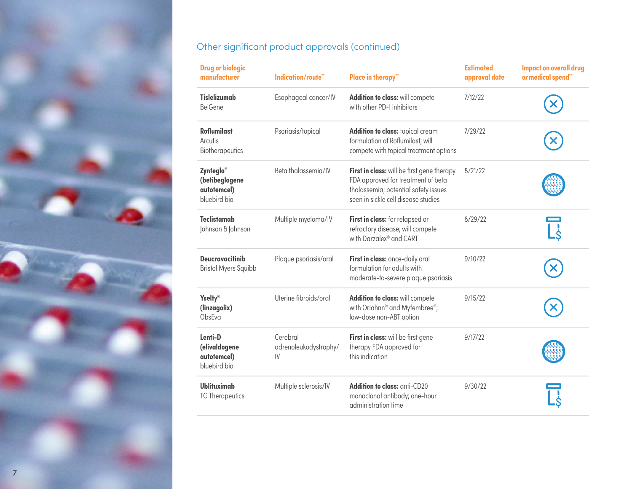

### Other significant product approvals (continued)

| <b>Drug or biologic</b><br>manufacturer                    | Indication/route*                       | <b>Place in therapy"</b>                                                                                                                                        | <b>Estimated</b><br>approval date | <b>Impact on overall drug</b><br>or medical spend** |
|------------------------------------------------------------|-----------------------------------------|-----------------------------------------------------------------------------------------------------------------------------------------------------------------|-----------------------------------|-----------------------------------------------------|
| <b>Tislelizumab</b><br><b>BeiGene</b>                      | Esophageal cancer/IV                    | Addition to class: will compete<br>with other PD-1 inhibitors                                                                                                   | 7/12/22                           |                                                     |
| <b>Roflumilast</b><br>Arcutis<br><b>Biotherapeutics</b>    | Psoriasis/topical                       | Addition to class: topical cream<br>formulation of Roflumilast; will<br>compete with topical treatment options                                                  | 7/29/22                           |                                                     |
| Zynteglo®<br>(betibeglogene<br>autotemcel)<br>bluebird bio | Beta thalassemia/IV                     | First in class: will be first gene therapy<br>FDA approved for treatment of beta<br>thalassemia; potential safety issues<br>seen in sickle cell disease studies | 8/21/22                           |                                                     |
| <b>Teclistamab</b><br>Johnson & Johnson                    | Multiple myeloma/IV                     | First in class: for relapsed or<br>refractory disease; will compete<br>with Darzalex <sup>®</sup> and CART                                                      | 8/29/22                           |                                                     |
| <b>Deucravacitinib</b><br><b>Bristol Myers Squibb</b>      | Plaque psoriasis/oral                   | First in class: once-daily oral<br>formulation for adults with<br>moderate-to-severe plaque psoriasis                                                           | 9/10/22                           |                                                     |
| <b>Yselty®</b><br>(linzagolix)<br>ObsEva                   | Uterine fibroids/oral                   | Addition to class: will compete<br>with Oriahnn <sup>®</sup> and Myfembree <sup>®</sup> ;<br>low-dose non-ABT option                                            | 9/15/22                           |                                                     |
| Lenti-D<br>(elivaldogene<br>autotemcel)<br>bluebird bio    | Cerebral<br>adrenoleukodystrophy/<br>IV | First in class: will be first gene<br>therapy FDA approved for<br>this indication                                                                               | 9/17/22                           |                                                     |
| Ublituximab<br><b>TG Therapeutics</b>                      | Multiple sclerosis/IV                   | Addition to class: anti-CD20<br>monoclonal antibody; one-hour<br>administration time                                                                            | 9/30/22                           |                                                     |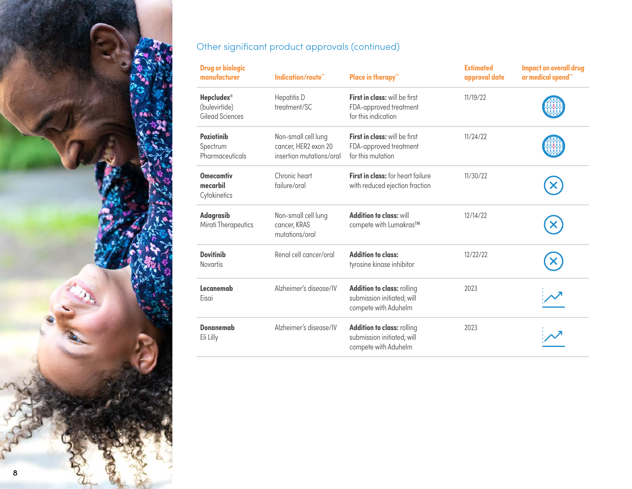

### Other significant product approvals (continued)

| <b>Drug or biologic</b><br>manufacturer               | Indication/route**                                                      | <b>Place in therapy"</b>                                                         | <b>Estimated</b><br>approval date | <b>Impact on overall drug</b><br>or medical spend** |
|-------------------------------------------------------|-------------------------------------------------------------------------|----------------------------------------------------------------------------------|-----------------------------------|-----------------------------------------------------|
| <b>Hepcludex®</b><br>(bulevirtide)<br>Gilead Sciences | <b>Hepatitis D</b><br>treatment/SC                                      | First in class: will be first<br>FDA-approved treatment<br>for this indication   | 11/19/22                          |                                                     |
| <b>Poziotinib</b><br>Spectrum<br>Pharmaceuticals      | Non-small cell lung<br>cancer, HER2 exon 20<br>insertion mutations/oral | First in class: will be first<br>FDA-approved treatment<br>for this mutation     | 11/24/22                          |                                                     |
| <b>Omecamtiv</b><br>mecarbil<br>Cytokinetics          | Chronic heart<br>failure/oral                                           | First in class: for heart failure<br>with reduced ejection fraction              | 11/30/22                          |                                                     |
| Adagrasib<br><b>Mirati Therapeutics</b>               | Non-small cell lung<br>cancer, KRAS<br>mutations/oral                   | <b>Addition to class: will</b><br>compete with Lumakras™                         | 12/14/22                          |                                                     |
| <b>Dovitinib</b><br><b>Novartis</b>                   | Renal cell cancer/oral                                                  | <b>Addition to class:</b><br>tyrosine kinase inhibitor                           | 12/22/22                          |                                                     |
| Lecanemab<br>Eisai                                    | Alzheimer's disease/IV                                                  | Addition to class: rolling<br>submission initiated; will<br>compete with Aduhelm | 2023                              |                                                     |
| <b>Donanemab</b><br>Eli Lilly                         | Alzheimer's disease/IV                                                  | Addition to class: rolling<br>submission initiated; will<br>compete with Aduhelm | 2023                              |                                                     |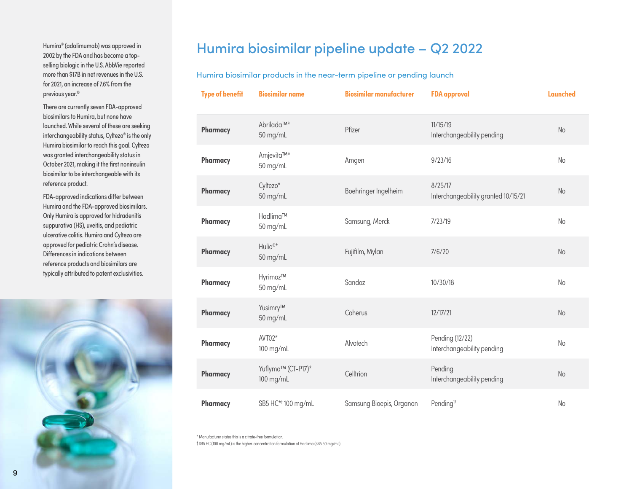<span id="page-8-0"></span>Humira® (adalimumab) was approved in 2002 by the FDA and has become a topselling biologic in the U.S. AbbVie reported more than \$17B in net revenues in the U.S. for 2021, an increase of 7.6% from the previous year.<sup>16</sup>

There are currently seven FDA-approved biosimilars to Humira, but none have launched. While several of these are seeking interchangeability status, Cyltezo® is the only Humira biosimilar to reach this goal. Cyltezo was granted interchangeability status in October 2021, making it the first noninsulin biosimilar to be interchangeable with its reference product.

FDA-approved indications differ between Humira and the FDA-approved biosimilars. Only Humira is approved for hidradenitis suppurativa (HS), uveitis, and pediatric ulcerative colitis. Humira and Cyltezo are approved for pediatric Crohn's disease. Differences in indications between reference products and biosimilars are typically attributed to patent exclusivities.



## Humira biosimilar pipeline update – Q2 2022

Humira biosimilar products in the near-term pipeline or pending launch

| <b>Type of benefit</b> | <b>Biosimilar name</b>             | <b>Biosimilar manufacturer</b> | <b>FDA</b> approval                            | <b>Launched</b> |
|------------------------|------------------------------------|--------------------------------|------------------------------------------------|-----------------|
| Pharmacy               | Abrilada™ <sup>*</sup><br>50 mg/mL | Pfizer                         | 11/15/19<br>Interchangeability pending         | No              |
| Pharmacy               | Amjevita™*<br>50 mg/mL             | Amgen                          | 9/23/16                                        | No              |
| Pharmacy               | Cyltezo*<br>50 mg/mL               | Boehringer Ingelheim           | 8/25/17<br>Interchangeability granted 10/15/21 | No              |
| <b>Pharmacy</b>        | Hadlima™<br>50 mg/mL               | Samsung, Merck                 | 7/23/19                                        | No              |
| Pharmacy               | Hulio <sup>®*</sup><br>50 mg/mL    | Fujifilm, Mylan                | 7/6/20                                         | No              |
| Pharmacy               | Hyrimoz™<br>50 mg/mL               | Sandoz                         | 10/30/18                                       | No              |
| Pharmacy               | Yusimry™<br>50 mg/mL               | Coherus                        | 12/17/21                                       | No              |
| Pharmacy               | AVT02*<br>100 mg/mL                | Alvotech                       | Pending (12/22)<br>Interchangeability pending  | No              |
| Pharmacy               | Yuflyma™ (CT-P17)*<br>100 mg/mL    | Celltrion                      | Pending<br>Interchangeability pending          | No              |
| Pharmacy               | SB5 HC* <sup>†</sup> 100 mg/mL     | Samsung Bioepis, Organon       | Pending <sup>17</sup>                          | No              |

\* Manufacturer states this is a citrate-free formulation.

† SB5 HC (100 mg/mL) is the higher-concentration formulation of Hadlima (SB5 50 mg/mL).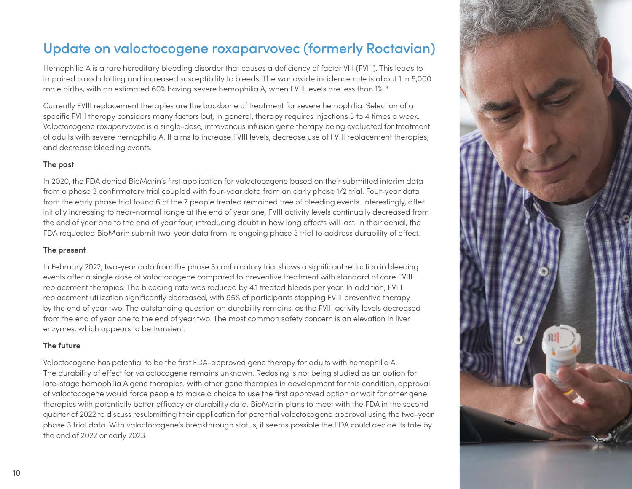# <span id="page-9-0"></span>Update on valoctocogene roxaparvovec (formerly Roctavian)

Hemophilia A is a rare hereditary bleeding disorder that causes a deficiency of factor VIII (FVIII). This leads to impaired blood clotting and increased susceptibility to bleeds. The worldwide incidence rate is about 1 in 5,000 male births, with an estimated 60% having severe hemophilia A, when FVIII levels are less than 1%.18

Currently FVIII replacement therapies are the backbone of treatment for severe hemophilia. Selection of a specific FVIII therapy considers many factors but, in general, therapy requires injections 3 to 4 times a week. Valoctocogene roxaparvovec is a single-dose, intravenous infusion gene therapy being evaluated for treatment of adults with severe hemophilia A. It aims to increase FVIII levels, decrease use of FVIII replacement therapies, and decrease bleeding events.

### **The past**

In 2020, the FDA denied BioMarin's first application for valoctocogene based on their submitted interim data from a phase 3 confirmatory trial coupled with four-year data from an early phase 1/2 trial. Four-year data from the early phase trial found 6 of the 7 people treated remained free of bleeding events. Interestingly, after initially increasing to near-normal range at the end of year one, FVIII activity levels continually decreased from the end of year one to the end of year four, introducing doubt in how long effects will last. In their denial, the FDA requested BioMarin submit two-year data from its ongoing phase 3 trial to address durability of effect.

### **The present**

In February 2022, two-year data from the phase 3 confirmatory trial shows a significant reduction in bleeding events after a single dose of valoctocogene compared to preventive treatment with standard of care FVIII replacement therapies. The bleeding rate was reduced by 4.1 treated bleeds per year. In addition, FVIII replacement utilization significantly decreased, with 95% of participants stopping FVIII preventive therapy by the end of year two. The outstanding question on durability remains, as the FVIII activity levels decreased from the end of year one to the end of year two. The most common safety concern is an elevation in liver enzymes, which appears to be transient.

### **The future**

Valoctocogene has potential to be the first FDA-approved gene therapy for adults with hemophilia A. The durability of effect for valoctocogene remains unknown. Redosing is not being studied as an option for late-stage hemophilia A gene therapies. With other gene therapies in development for this condition, approval of valoctocogene would force people to make a choice to use the first approved option or wait for other gene therapies with potentially better efficacy or durability data. BioMarin plans to meet with the FDA in the second quarter of 2022 to discuss resubmitting their application for potential valoctocogene approval using the two-year phase 3 trial data. With valoctocogene's breakthrough status, it seems possible the FDA could decide its fate by the end of 2022 or early 2023.

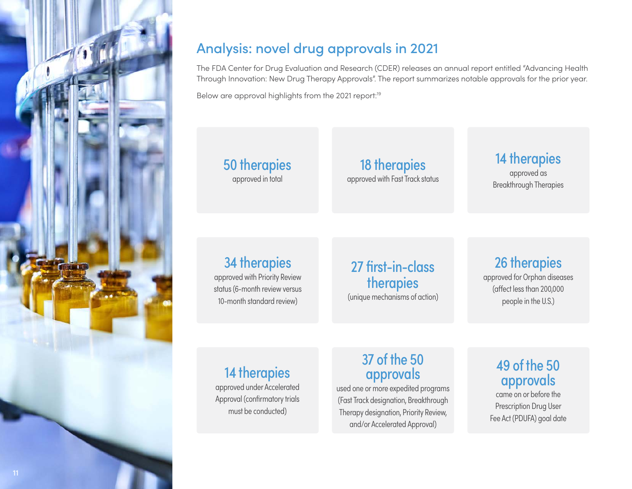<span id="page-10-0"></span>

# Analysis: novel drug approvals in 2021

The FDA Center for Drug Evaluation and Research (CDER) releases an annual report entitled "Advancing Health Through Innovation: New Drug Therapy Approvals". The report summarizes notable approvals for the prior year.

Below are approval highlights from the 2021 report:<sup>19</sup>

### 50 therapies approved in total

18 therapies approved with Fast Track status

# 14 therapies

approved as Breakthrough Therapies

# 34 therapies

approved with Priority Review status (6-month review versus 10-month standard review)

## 27 first-in-class therapies (unique mechanisms of action)

26 therapies approved for Orphan diseases (affect less than 200,000 people in the U.S.)

# 14 therapies

approved under Accelerated Approval (confirmatory trials must be conducted)

# 37 of the 50 approvals

used one or more expedited programs (Fast Track designation, Breakthrough Therapy designation, Priority Review, and/or Accelerated Approval)

## 49 of the 50 approvals

came on or before the Prescription Drug User Fee Act (PDUFA) goal date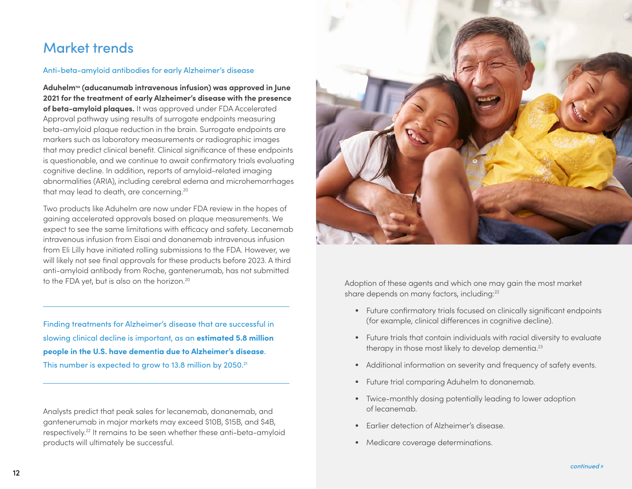# <span id="page-11-0"></span>Market trends

### Anti-beta-amyloid antibodies for early Alzheimer's disease

**Aduhelm**TM **(aducanumab intravenous infusion) was approved in June 2021 for the treatment of early Alzheimer's disease with the presence of beta-amyloid plaques.** It was approved under FDA Accelerated Approval pathway using results of surrogate endpoints measuring beta-amyloid plaque reduction in the brain. Surrogate endpoints are markers such as laboratory measurements or radiographic images that may predict clinical benefit. Clinical significance of these endpoints is questionable, and we continue to await confirmatory trials evaluating cognitive decline. In addition, reports of amyloid-related imaging abnormalities (ARIA), including cerebral edema and microhemorrhages that may lead to death, are concerning.20

Two products like Aduhelm are now under FDA review in the hopes of gaining accelerated approvals based on plaque measurements. We expect to see the same limitations with efficacy and safety. Lecanemab intravenous infusion from Eisai and donanemab intravenous infusion from Eli Lilly have initiated rolling submissions to the FDA. However, we will likely not see final approvals for these products before 2023. A third anti-amyloid antibody from Roche, gantenerumab, has not submitted to the FDA yet, but is also on the horizon.20

Finding treatments for Alzheimer's disease that are successful in slowing clinical decline is important, as an **estimated 5.8 million people in the U.S. have dementia due to Alzheimer's disease**. This number is expected to grow to 13.8 million by 2050.<sup>21</sup>

Analysts predict that peak sales for lecanemab, donanemab, and gantenerumab in major markets may exceed \$10B, \$15B, and \$4B, respectively.22 It remains to be seen whether these anti-beta-amyloid products will ultimately be successful.



Adoption of these agents and which one may gain the most market share depends on many factors, including:<sup>22</sup>

- **•** Future confirmatory trials focused on clinically significant endpoints (for example, clinical differences in cognitive decline).
- **•** Future trials that contain individuals with racial diversity to evaluate therapy in those most likely to develop dementia.<sup>23</sup>
- **•** Additional information on severity and frequency of safety events.
- **•** Future trial comparing Aduhelm to donanemab.
- **•** Twice-monthly dosing potentially leading to lower adoption of lecanemab.
- **•** Earlier detection of Alzheimer's disease.
- **•** Medicare coverage determinations.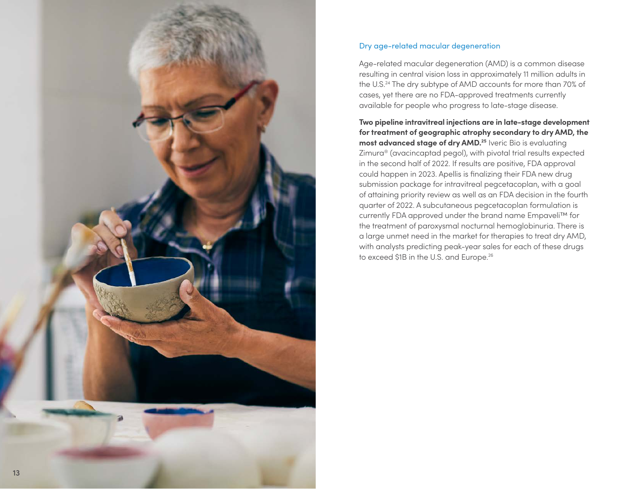<span id="page-12-0"></span>

### Dry age-related macular degeneration

Age-related macular degeneration (AMD) is a common disease resulting in central vision loss in approximately 11 million adults in the U.S.24 The dry subtype of AMD accounts for more than 70% of cases, yet there are no FDA-approved treatments currently available for people who progress to late-stage disease.

**Two pipeline intravitreal injections are in late-stage development for treatment of geographic atrophy secondary to dry AMD, the most advanced stage of dry AMD.<sup>25</sup> Iveric Bio is evaluating** Zimura® (avacincaptad pegol), with pivotal trial results expected in the second half of 2022. If results are positive, FDA approval could happen in 2023. Apellis is finalizing their FDA new drug submission package for intravitreal pegcetacoplan, with a goal of attaining priority review as well as an FDA decision in the fourth quarter of 2022. A subcutaneous pegcetacoplan formulation is currently FDA approved under the brand name Empaveli™ for the treatment of paroxysmal nocturnal hemoglobinuria. There is a large unmet need in the market for therapies to treat dry AMD, with analysts predicting peak-year sales for each of these drugs to exceed \$1B in the U.S. and Europe.<sup>26</sup>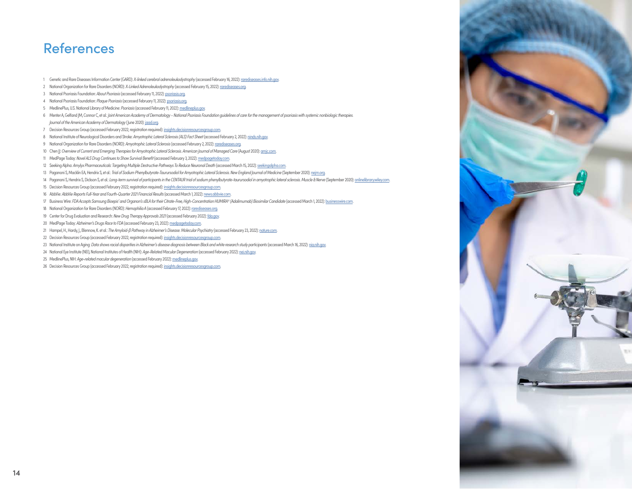### References

- 1 Genetic and Rare Diseases Information Center (GARD): *X-linked cerebral adrenoleukodystrophy* (accessed February 16, 2022): [rarediseases.info.nih.gov](https://rarediseases.info.nih.gov/diseases/9412/x-linked-cerebral-adrenoleukodystrophy).
- 2 National Organization for Rare Disorders (NORD): *X-Linked Adrenoleukodystrophy* (accessed February 15, 2022): [rarediseases.org.](https://rarediseases.org/rare-diseases/adrenoleukodystrophy/)
- 3 National Psoriasis Foundation: *About Psoriasis* (accessed February 11, 2022): [psoriasis.org.](https://www.psoriasis.org/about-psoriasis/)
- 4 National Psoriasis Foundation: *Plaque Psoriasis* (accessed February 11, 2022): [psoriasis.org.](https://www.psoriasis.org/plaque/)
- 5 MedlinePlus, U.S. National Library of Medicine: *Psoriasis* (accessed February 11, 2022): [medlineplus.gov.](https://medlineplus.gov/ency/article/000434.htm)
- 6 Menter A, Gelfand JM, Connor C, et al.: *Joint American Academy of Dermatology National Psoriasis Foundation guidelines of care for the management of psoriasis with systemic nonbiologic therapies. Journal of the American Academy of Dermatology* (June 2020): [jaad.org](https://www.jaad.org/article/S0190-9622(20)30284-X/fulltext).
- 7 Decision Resources Group (accessed February 2022; registration required): [insights.decisionresourcesgroup.com](https://authentication.decisionresourcesgroup.com/login/?tok=YYY2180_b9v%2BEFi1q2Vc9WRLr%2Bgx3cQcTyLkR8BQzqt4ACJgk6wSUN8DnzEKj25etKeT8cUE0n0vn17s91WjGiXz0sa6trvaAeynvSlAjTp1Xa9T5j%2BIBALnG43umFYwRqn6HB%2BX).
- 8 National Institute of Neurological Disorders and Stroke: *Amyotrophic Lateral Sclerosis (ALS) Fact Sheet* (accessed February 2, 2022): [ninds.nih.gov](https://www.ninds.nih.gov/Disorders/Patient-Caregiver-Education/Fact-Sheets/Amyotrophic-Lateral-Sclerosis-ALS-Fact-Sheet).
- 9 National Organization for Rare Disorders (NORD): *Amyotrophic Lateral Sclerosis* (accessed February 2, 2022): [rarediseases.org.](https://rarediseases.org/rare-diseases/amyotrophic-lateral-sclerosis/)
- 10 Chen JJ: *Overview of Current and Emerging Therapies for Amyotrophic Lateral Sclerosis. American Journal of Managed Care* (August 2020): [amjc.com.](https://www.ajmc.com/view/overview-of-current-and-emerging-therapies-for-amyotrophic-lateral-sclerosis)
- 11 MedPage Today: *Novel ALS Drug Continues to Show Survival Benefit* (accessed February 3, 2022): [medpagetoday.com](https://www.medpagetoday.com/meetingcoverage/aan/92166).
- 12 Seeking Alpha: *Amylyx Pharmaceuticals: Targeting Multiple Destructive Pathways To Reduce Neuronal Death* (accessed March 15, 2022): [seekingalpha.com.](https://seekingalpha.com/article/4477737-amylyx-pharmaceuticals-targeting-multiple-destructive-pathways-to-reduce-neuronal-death)
- 13 Paganoni S, Macklin EA, Hendrix S, et al.: *Trial of Sodium Phenylbutyrate-Taurursodiol for Amyotrophic Lateral Sclerosis. New England Journal of Medicine* (September 2020): [nejm.org](https://www.nejm.org/doi/full/10.1056/NEJMoa1916945).
- 14 Paganoni S, Hendrix S, Dickson S, et al.: Long-term survival of participants in the CENTAUR trial of sodium phenylbutyrate-taurursodiol in amyotrophic lateral sclerosis. Muscle & Nerve (September 2020): onlinelibrarywil
- 15 Decision Resources Group (accessed February 2022; registration required): [insights.decisionresourcesgroup.com](https://clarivate.com/drg-is-now-clarivate/).
- 16 AbbVie: *AbbVie Reports Full-Year and Fourth-Quarter 2021 Financial Results* (accessed March 1, 2022): [news.abbvie.com](https://news.abbvie.com/news/press-releases/abbvie-reports-full-year-and-fourth-quarter-2021-financial-results.htm).
- 17 Business Wire: *FDA Accepts Samsung Bioepis' and Organon's sBLA for their Citrate-Free, High-Concentration HUMIRA® (Adalimumab) Biosimilar Candidate* (accessed March 1, 2022): [businesswire.com](https://www.businesswire.com/news/home/20220105005178/en/).
- 18 National Organization for Rare Disorders (NORD): *Hemophilia A* (accessed February 17, 2022): [rarediseases.org](https://rarediseases.org/rare-diseases/hemophilia-a/).
- 19 Center for Drug Evaluation and Research: *New Drug Therapy Approvals 2021* (accessed February 2022): [fda.gov](https://www.fda.gov/media/155227/download).
- 20 MedPage Today: *Alzheimer's Drugs Race to FDA* (accessed February 23, 2022): [medpagetoday.com.](https://www.medpagetoday.com/neurology/alzheimersdisease/96462)
- 21 Hampel, H., Hardy, J., Blennow, K. et al.: *The Amyloid-β Pathway in Alzheimer's Disease. Molecular Psychiatry* (accessed February 23, 2022): [nature.com.](https://rdcu.be/cLFZl)
- 22 Decision Resources Group (accessed February 2022; registration required): [insights.decisionresourcesgroup.com](https://clarivate.com/drg-is-now-clarivate/).
- 23 National Institute on Aging: *Data shows racial disparities in Alzheimer's disease diagnosis between Black and white research study participants* (accessed March 16, 2022): [nia.nih.gov.](https://www.nia.nih.gov/news/data-shows-racial-disparities-alzheimers-disease-diagnosis-between-black-and-white-research)
- 24 National Eye Institute (NEI), National Institutes of Health (NIH): *Age-Related Macular Degeneration* (accessed February 2022): [nei.nih.gov](https://www.nei.nih.gov/learn-about-eye-health/eye-conditions-and-diseases/age-related-macular-degeneration).
- 25 MedlinePlus, NIH: *Age-related macular degeneration* (accessed February 2022): [medlineplus.gov.](https://medlineplus.gov/genetics/condition/age-related-macular-degeneration/)
- 26 Decision Resources Group (accessed February 2022; registration required): [insights.decisionresourcesgroup.com](https://authentication.decisionresourcesgroup.com/login/?tok=YYY2180_b9v%2BEFi1q2Vc9WRLr%2Bgx3cQcTyLkR8BQzqt4ACJgk6wSUN8DnzEKj25etKeT8cUE0n0vn17s91WjGiXz0sa6trvaAeynvSlAjTp1Xa9T5j8EXeIOmhGFB1mLpLgEmX%2BD).